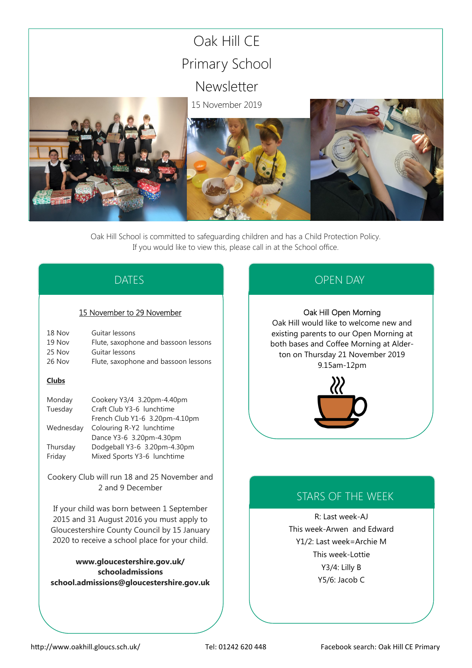

Oak Hill School is committed to safeguarding children and has a Child Protection Policy. If you would like to view this, please call in at the School office.

# DATES

### 15 November to 29 November

| 18 Nov | Guitar lessons                       |
|--------|--------------------------------------|
| 19 Nov | Flute, saxophone and bassoon lessons |
| 25 Nov | Guitar lessons                       |
| 26 Nov | Flute, saxophone and bassoon lessons |
|        |                                      |

### **Clubs**

| Monday    | Cookery Y3/4 3.20pm-4.40pm     |
|-----------|--------------------------------|
| Tuesday   | Craft Club Y3-6 lunchtime      |
|           | French Club Y1-6 3.20pm-4.10pm |
| Wednesday | Colouring R-Y2 lunchtime       |
|           | Dance Y3-6 3.20pm-4.30pm       |
| Thursday  | Dodgeball Y3-6 3.20pm-4.30pm   |
| Friday    | Mixed Sports Y3-6 lunchtime    |

Cookery Club will run 18 and 25 November and 2 and 9 December

If your child was born between 1 September 2015 and 31 August 2016 you must apply to Gloucestershire County Council by 15 January 2020 to receive a school place for your child.

**www.gloucestershire.gov.uk/ schooladmissions school.admissions@gloucestershire.gov.uk**

# OPEN DAY

### Oak Hill Open Morning

Oak Hill would like to welcome new and existing parents to our Open Morning at both bases and Coffee Morning at Alderton on Thursday 21 November 2019 9.15am-12pm



# STARS OF THE WEEK

R: Last week-AJ This week-Arwen and Edward Y1/2: Last week=Archie M This week-Lottie Y3/4: Lilly B Y5/6: Jacob C